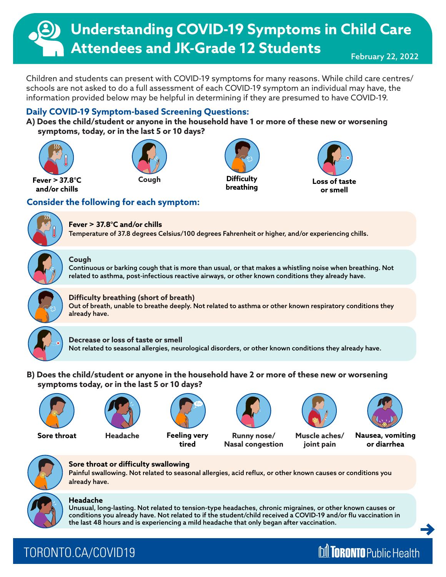# **Understanding COVID-19 Symptoms in Child Care Attendees and JK-Grade 12 Students**

February 22, 2022

Children and students can present with COVID-19 symptoms for many reasons. While child care centres/ schools are not asked to do a full assessment of each COVID-19 symptom an individual may have, the information provided below may be helpful in determining if they are presumed to have COVID-19.

## **Daily COVID-19 Symptom-based Screening Questions:**

**A) Does the child/student or anyone in the household have 1 or more of these new or worsening symptoms, today, or in the last 5 or 10 days?** 





**Fever > 37.8°C and/or chills**

## **Consider the following for each symptom:**



## **Fever > 37.8°C and/or chills**

Temperature of 37.8 degrees Celsius/100 degrees Fahrenheit or higher, and/or experiencing chills.



#### **Cough**

Continuous or barking cough that is more than usual, or that makes a whistling noise when breathing. Not related to asthma, post-infectious reactive airways, or other known conditions they already have.

**breathing**



### **Difficulty breathing (short of breath)**

Out of breath, unable to breathe deeply. Not related to asthma or other known respiratory conditions they already have.



#### **Decrease or loss of taste or smell**

Not related to seasonal allergies, neurological disorders, or other known conditions they already have.

**B) Does the child/student or anyone in the household have 2 or more of these new or worsening symptoms today, or in the last 5 or 10 days?**







**Sore throat Headache Feeling very tired**



**Runny nose/ Nasal congestion**



**Loss of taste or smell**

**Muscle aches/ joint pain**



**Nausea, vomiting or diarrhea**



## **Sore throat or difficulty swallowing**

Painful swallowing. Not related to seasonal allergies, acid reflux, or other known causes or conditions you already have.



### **Headache**

Unusual, long-lasting. Not related to tension-type headaches, chronic migraines, or other known causes or conditions you already have. Not related to if the student/child received a COVID-19 and/or flu vaccination in the last 48 hours and is experiencing a mild headache that only began after vaccination.

## TORONTO.CA/COVID19